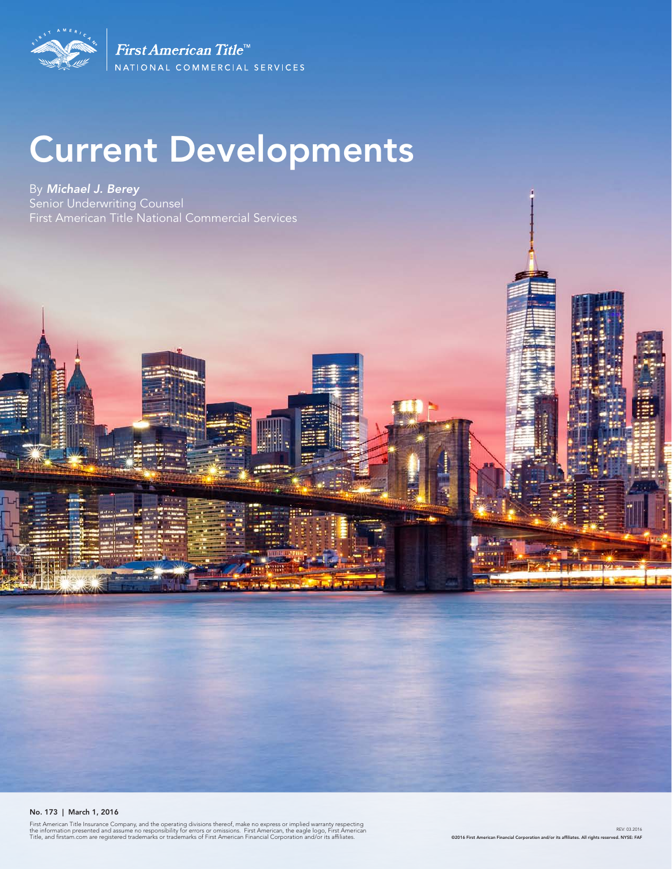

First American Title<sup>tt</sup> NATIONAL COMMERCIAL SERVICES

# Current Developments

By *Michael J. Berey*  Senior Underwriting Counsel First American Title National Commercial Services

No. 173 | March 1, 2016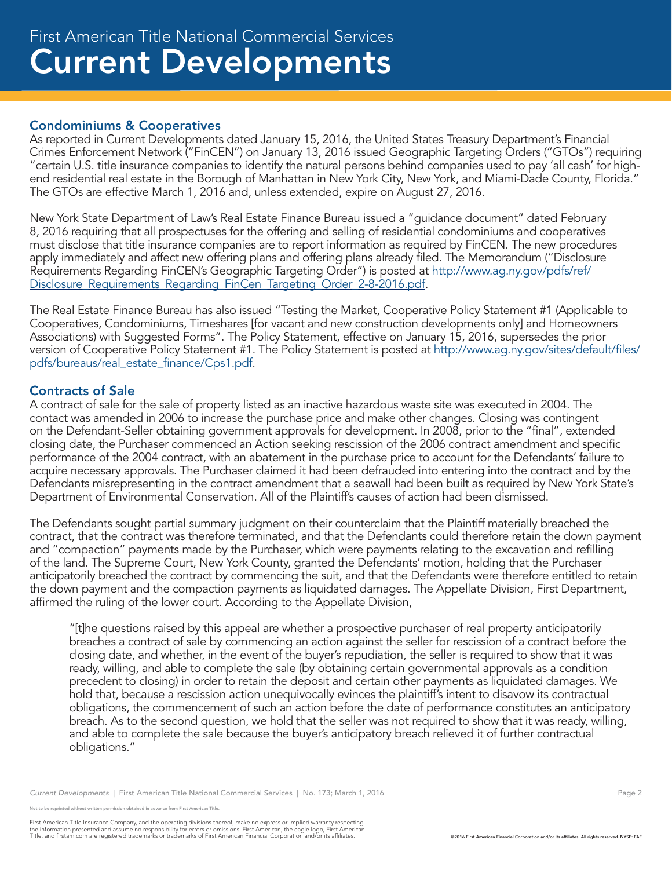## Condominiums & Cooperatives

As reported in Current Developments dated January 15, 2016, the United States Treasury Department's Financial Crimes Enforcement Network ("FinCEN") on January 13, 2016 issued Geographic Targeting Orders ("GTOs") requiring "certain U.S. title insurance companies to identify the natural persons behind companies used to pay 'all cash' for highend residential real estate in the Borough of Manhattan in New York City, New York, and Miami-Dade County, Florida." The GTOs are effective March 1, 2016 and, unless extended, expire on August 27, 2016.

New York State Department of Law's Real Estate Finance Bureau issued a "guidance document" dated February 8, 2016 requiring that all prospectuses for the offering and selling of residential condominiums and cooperatives must disclose that title insurance companies are to report information as required by FinCEN. The new procedures apply immediately and affect new offering plans and offering plans already filed. The Memorandum ("Disclosure Requirements Regarding FinCEN's Geographic Targeting Order") is posted at http://www.ag.ny.gov/pdfs/ref/ Disclosure\_Requirements\_Regarding\_FinCen\_Targeting\_Order\_2-8-2016.pdf.

The Real Estate Finance Bureau has also issued "Testing the Market, Cooperative Policy Statement #1 (Applicable to Cooperatives, Condominiums, Timeshares [for vacant and new construction developments only] and Homeowners Associations) with Suggested Forms". The Policy Statement, effective on January 15, 2016, supersedes the prior version of Cooperative Policy Statement #1. The Policy Statement is posted at http://www.ag.ny.gov/sites/default/files/ pdfs/bureaus/real\_estate\_finance/Cps1.pdf.

# Contracts of Sale

A contract of sale for the sale of property listed as an inactive hazardous waste site was executed in 2004. The contact was amended in 2006 to increase the purchase price and make other changes. Closing was contingent on the Defendant-Seller obtaining government approvals for development. In 2008, prior to the "final", extended closing date, the Purchaser commenced an Action seeking rescission of the 2006 contract amendment and specific performance of the 2004 contract, with an abatement in the purchase price to account for the Defendants' failure to acquire necessary approvals. The Purchaser claimed it had been defrauded into entering into the contract and by the Defendants misrepresenting in the contract amendment that a seawall had been built as required by New York State's Department of Environmental Conservation. All of the Plaintiff's causes of action had been dismissed.

The Defendants sought partial summary judgment on their counterclaim that the Plaintiff materially breached the contract, that the contract was therefore terminated, and that the Defendants could therefore retain the down payment and "compaction" payments made by the Purchaser, which were payments relating to the excavation and refilling of the land. The Supreme Court, New York County, granted the Defendants' motion, holding that the Purchaser anticipatorily breached the contract by commencing the suit, and that the Defendants were therefore entitled to retain the down payment and the compaction payments as liquidated damages. The Appellate Division, First Department, affirmed the ruling of the lower court. According to the Appellate Division,

"[t]he questions raised by this appeal are whether a prospective purchaser of real property anticipatorily breaches a contract of sale by commencing an action against the seller for rescission of a contract before the closing date, and whether, in the event of the buyer's repudiation, the seller is required to show that it was ready, willing, and able to complete the sale (by obtaining certain governmental approvals as a condition precedent to closing) in order to retain the deposit and certain other payments as liquidated damages. We hold that, because a rescission action unequivocally evinces the plaintiff's intent to disavow its contractual obligations, the commencement of such an action before the date of performance constitutes an anticipatory breach. As to the second question, we hold that the seller was not required to show that it was ready, willing, and able to complete the sale because the buyer's anticipatory breach relieved it of further contractual obligations."

*Current Developments* | First American Title National Commercial Services | No. 173; March 1, 2016 Page 2 Page 2

not to be reprinted without written permission obtained in advance from First American Title.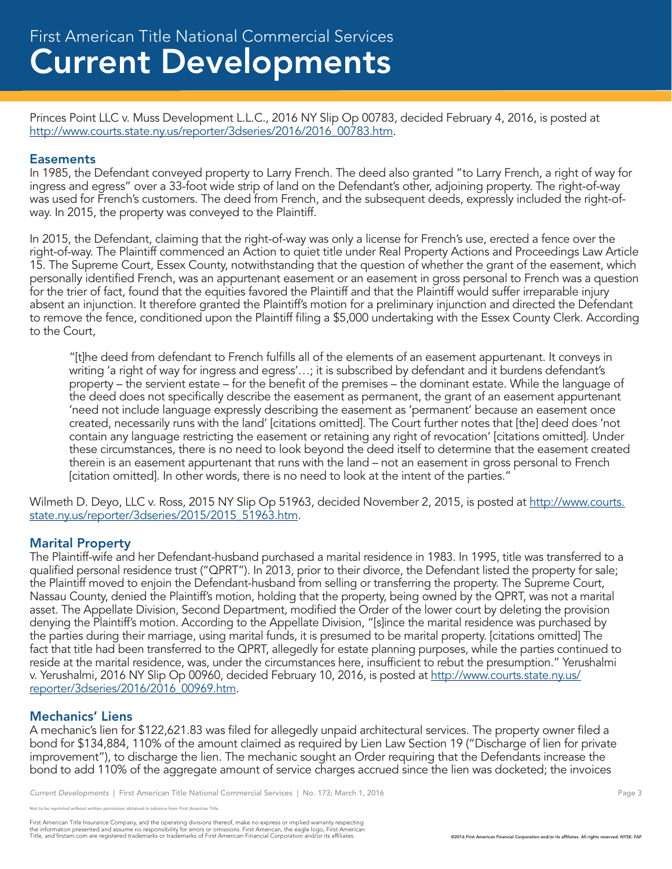Princes Point LLC v. Muss Development L.L.C., 2016 NY Slip Op 00783, decided February 4, 2016, is posted at http://www.courts.state.ny.us/reporter/3dseries/2016/2016\_00783.htm.

#### **Easements**

In 1985, the Defendant conveyed property to Larry French. The deed also granted "to Larry French, a right of way for ingress and egress" over a 33-foot wide strip of land on the Defendant's other, adjoining property. The right-of-way was used for French's customers. The deed from French, and the subsequent deeds, expressly included the right-ofway. In 2015, the property was conveyed to the Plaintiff.

In 2015, the Defendant, claiming that the right-of-way was only a license for French's use, erected a fence over the right-of-way. The Plaintiff commenced an Action to quiet title under Real Property Actions and Proceedings Law Article 15. The Supreme Court, Essex County, notwithstanding that the question of whether the grant of the easement, which personally identified French, was an appurtenant easement or an easement in gross personal to French was a question for the trier of fact, found that the equities favored the Plaintiff and that the Plaintiff would suffer irreparable injury absent an injunction. It therefore granted the Plaintiff's motion for a preliminary injunction and directed the Defendant to remove the fence, conditioned upon the Plaintiff filing a \$5,000 undertaking with the Essex County Clerk. According to the Court,

"[t]he deed from defendant to French fulfills all of the elements of an easement appurtenant. It conveys in writing 'a right of way for ingress and egress'…; it is subscribed by defendant and it burdens defendant's property – the servient estate – for the benefit of the premises – the dominant estate. While the language of the deed does not specifically describe the easement as permanent, the grant of an easement appurtenant 'need not include language expressly describing the easement as 'permanent' because an easement once created, necessarily runs with the land' [citations omitted]. The Court further notes that [the] deed does 'not contain any language restricting the easement or retaining any right of revocation' [citations omitted]. Under these circumstances, there is no need to look beyond the deed itself to determine that the easement created therein is an easement appurtenant that runs with the land – not an easement in gross personal to French [citation omitted]. In other words, there is no need to look at the intent of the parties."

Wilmeth D. Deyo, LLC v. Ross, 2015 NY Slip Op 51963, decided November 2, 2015, is posted at http://www.courts. state.ny.us/reporter/3dseries/2015/2015\_51963.htm.

#### Marital Property

The Plaintiff-wife and her Defendant-husband purchased a marital residence in 1983. In 1995, title was transferred to a qualified personal residence trust ("QPRT"). In 2013, prior to their divorce, the Defendant listed the property for sale; the Plaintiff moved to enjoin the Defendant-husband from selling or transferring the property. The Supreme Court, Nassau County, denied the Plaintiff's motion, holding that the property, being owned by the QPRT, was not a marital asset. The Appellate Division, Second Department, modified the Order of the lower court by deleting the provision denying the Plaintiff's motion. According to the Appellate Division, "[s]ince the marital residence was purchased by the parties during their marriage, using marital funds, it is presumed to be marital property. [citations omitted] The fact that title had been transferred to the QPRT, allegedly for estate planning purposes, while the parties continued to reside at the marital residence, was, under the circumstances here, insufficient to rebut the presumption." Yerushalmi v. Yerushalmi, 2016 NY Slip Op 00960, decided February 10, 2016, is posted at http://www.courts.state.ny.us/ reporter/3dseries/2016/2016\_00969.htm.

#### Mechanics' Liens

A mechanic's lien for \$122,621.83 was filed for allegedly unpaid architectural services. The property owner filed a bond for \$134,884, 110% of the amount claimed as required by Lien Law Section 19 ("Discharge of lien for private improvement"), to discharge the lien. The mechanic sought an Order requiring that the Defendants increase the bond to add 110% of the aggregate amount of service charges accrued since the lien was docketed; the invoices

*Current Developments* | First American Title National Commercial Services | No. 173; March 1, 2016 **Page 3** Page 3

reprinted without written permission obtained in advance from First American Title.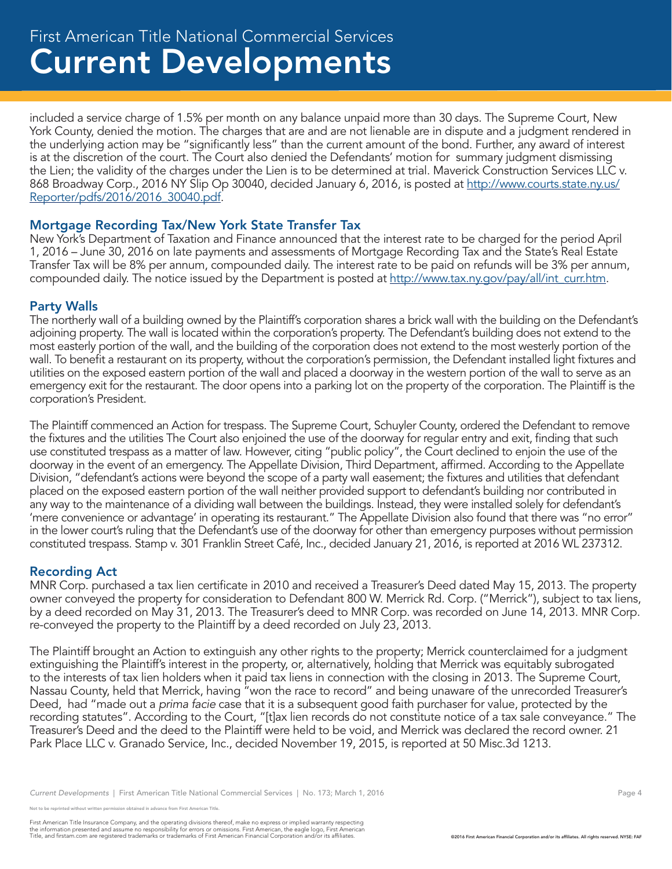# Current Developments First American Title National Commercial Services

included a service charge of 1.5% per month on any balance unpaid more than 30 days. The Supreme Court, New York County, denied the motion. The charges that are and are not lienable are in dispute and a judgment rendered in the underlying action may be "significantly less" than the current amount of the bond. Further, any award of interest is at the discretion of the court. The Court also denied the Defendants' motion for summary judgment dismissing the Lien; the validity of the charges under the Lien is to be determined at trial. Maverick Construction Services LLC v. 868 Broadway Corp., 2016 NY Slip Op 30040, decided January 6, 2016, is posted at http://www.courts.state.ny.us/ Reporter/pdfs/2016/2016\_30040.pdf.

# Mortgage Recording Tax/New York State Transfer Tax

New York's Department of Taxation and Finance announced that the interest rate to be charged for the period April 1, 2016 – June 30, 2016 on late payments and assessments of Mortgage Recording Tax and the State's Real Estate Transfer Tax will be 8% per annum, compounded daily. The interest rate to be paid on refunds will be 3% per annum, compounded daily. The notice issued by the Department is posted at http://www.tax.ny.gov/pay/all/int\_curr.htm.

## Party Walls

The northerly wall of a building owned by the Plaintiff's corporation shares a brick wall with the building on the Defendant's adjoining property. The wall is located within the corporation's property. The Defendant's building does not extend to the most easterly portion of the wall, and the building of the corporation does not extend to the most westerly portion of the wall. To benefit a restaurant on its property, without the corporation's permission, the Defendant installed light fixtures and utilities on the exposed eastern portion of the wall and placed a doorway in the western portion of the wall to serve as an emergency exit for the restaurant. The door opens into a parking lot on the property of the corporation. The Plaintiff is the corporation's President.

The Plaintiff commenced an Action for trespass. The Supreme Court, Schuyler County, ordered the Defendant to remove the fixtures and the utilities The Court also enjoined the use of the doorway for regular entry and exit, finding that such use constituted trespass as a matter of law. However, citing "public policy", the Court declined to enjoin the use of the doorway in the event of an emergency. The Appellate Division, Third Department, affirmed. According to the Appellate Division, "defendant's actions were beyond the scope of a party wall easement; the fixtures and utilities that defendant placed on the exposed eastern portion of the wall neither provided support to defendant's building nor contributed in any way to the maintenance of a dividing wall between the buildings. Instead, they were installed solely for defendant's 'mere convenience or advantage' in operating its restaurant." The Appellate Division also found that there was "no error" in the lower court's ruling that the Defendant's use of the doorway for other than emergency purposes without permission constituted trespass. Stamp v. 301 Franklin Street Café, Inc., decided January 21, 2016, is reported at 2016 WL 237312.

#### Recording Act

MNR Corp. purchased a tax lien certificate in 2010 and received a Treasurer's Deed dated May 15, 2013. The property owner conveyed the property for consideration to Defendant 800 W. Merrick Rd. Corp. ("Merrick"), subject to tax liens, by a deed recorded on May 31, 2013. The Treasurer's deed to MNR Corp. was recorded on June 14, 2013. MNR Corp. re-conveyed the property to the Plaintiff by a deed recorded on July 23, 2013.

The Plaintiff brought an Action to extinguish any other rights to the property; Merrick counterclaimed for a judgment extinguishing the Plaintiff's interest in the property, or, alternatively, holding that Merrick was equitably subrogated to the interests of tax lien holders when it paid tax liens in connection with the closing in 2013. The Supreme Court, Nassau County, held that Merrick, having "won the race to record" and being unaware of the unrecorded Treasurer's Deed, had "made out a *prima facie* case that it is a subsequent good faith purchaser for value, protected by the recording statutes". According to the Court, "[t]ax lien records do not constitute notice of a tax sale conveyance." The Treasurer's Deed and the deed to the Plaintiff were held to be void, and Merrick was declared the record owner. 21 Park Place LLC v. Granado Service, Inc., decided November 19, 2015, is reported at 50 Misc.3d 1213.

reprinted without written permission obtained in advance from First American Title.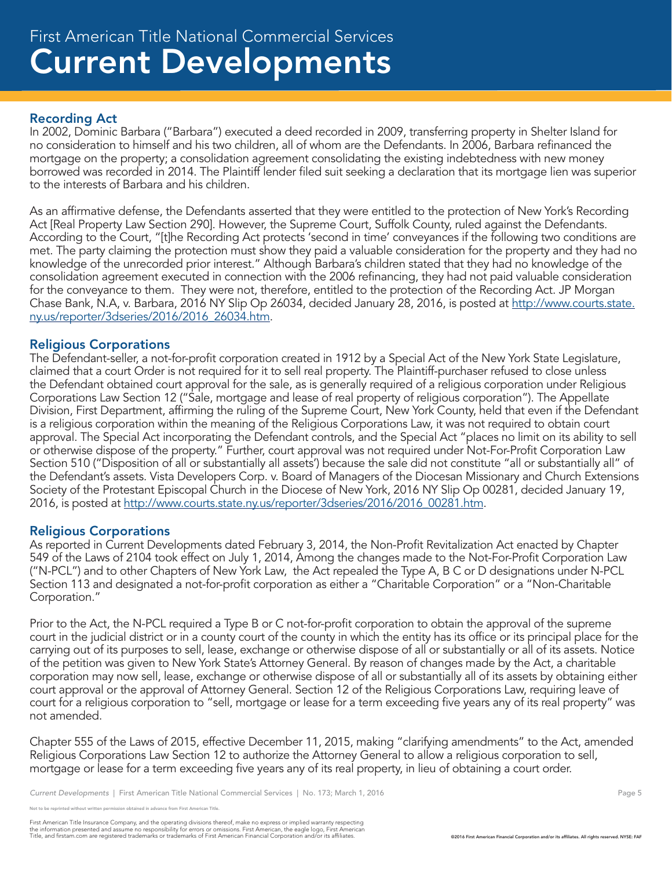## Recording Act

In 2002, Dominic Barbara ("Barbara") executed a deed recorded in 2009, transferring property in Shelter Island for no consideration to himself and his two children, all of whom are the Defendants. In 2006, Barbara refinanced the mortgage on the property; a consolidation agreement consolidating the existing indebtedness with new money borrowed was recorded in 2014. The Plaintiff lender filed suit seeking a declaration that its mortgage lien was superior to the interests of Barbara and his children.

As an affirmative defense, the Defendants asserted that they were entitled to the protection of New York's Recording Act [Real Property Law Section 290]. However, the Supreme Court, Suffolk County, ruled against the Defendants. According to the Court, "[t]he Recording Act protects 'second in time' conveyances if the following two conditions are met. The party claiming the protection must show they paid a valuable consideration for the property and they had no knowledge of the unrecorded prior interest." Although Barbara's children stated that they had no knowledge of the consolidation agreement executed in connection with the 2006 refinancing, they had not paid valuable consideration for the conveyance to them. They were not, therefore, entitled to the protection of the Recording Act. JP Morgan Chase Bank, N.A, v. Barbara, 2016 NY Slip Op 26034, decided January 28, 2016, is posted at http://www.courts.state. ny.us/reporter/3dseries/2016/2016\_26034.htm.

#### Religious Corporations

The Defendant-seller, a not-for-profit corporation created in 1912 by a Special Act of the New York State Legislature, claimed that a court Order is not required for it to sell real property. The Plaintiff-purchaser refused to close unless the Defendant obtained court approval for the sale, as is generally required of a religious corporation under Religious Corporations Law Section 12 ("Sale, mortgage and lease of real property of religious corporation"). The Appellate Division, First Department, affirming the ruling of the Supreme Court, New York County, held that even if the Defendant is a religious corporation within the meaning of the Religious Corporations Law, it was not required to obtain court approval. The Special Act incorporating the Defendant controls, and the Special Act "places no limit on its ability to sell or otherwise dispose of the property." Further, court approval was not required under Not-For-Profit Corporation Law Section 510 ("Disposition of all or substantially all assets') because the sale did not constitute "all or substantially all" of the Defendant's assets. Vista Developers Corp. v. Board of Managers of the Diocesan Missionary and Church Extensions Society of the Protestant Episcopal Church in the Diocese of New York, 2016 NY Slip Op 00281, decided January 19, 2016, is posted at http://www.courts.state.ny.us/reporter/3dseries/2016/2016\_00281.htm.

#### Religious Corporations

As reported in Current Developments dated February 3, 2014, the Non-Profit Revitalization Act enacted by Chapter 549 of the Laws of 2104 took effect on July 1, 2014, Among the changes made to the Not-For-Profit Corporation Law ("N-PCL") and to other Chapters of New York Law, the Act repealed the Type A, B C or D designations under N-PCL Section 113 and designated a not-for-profit corporation as either a "Charitable Corporation" or a "Non-Charitable Corporation."

Prior to the Act, the N-PCL required a Type B or C not-for-profit corporation to obtain the approval of the supreme court in the judicial district or in a county court of the county in which the entity has its office or its principal place for the carrying out of its purposes to sell, lease, exchange or otherwise dispose of all or substantially or all of its assets. Notice of the petition was given to New York State's Attorney General. By reason of changes made by the Act, a charitable corporation may now sell, lease, exchange or otherwise dispose of all or substantially all of its assets by obtaining either court approval or the approval of Attorney General. Section 12 of the Religious Corporations Law, requiring leave of court for a religious corporation to "sell, mortgage or lease for a term exceeding five years any of its real property" was not amended.

Chapter 555 of the Laws of 2015, effective December 11, 2015, making "clarifying amendments" to the Act, amended Religious Corporations Law Section 12 to authorize the Attorney General to allow a religious corporation to sell, mortgage or lease for a term exceeding five years any of its real property, in lieu of obtaining a court order.

*Current Developments* | First American Title National Commercial Services | No. 173; March 1, 2016 **Page 5** Page 5

e reprinted without written permission obtained in advance from First American Title.